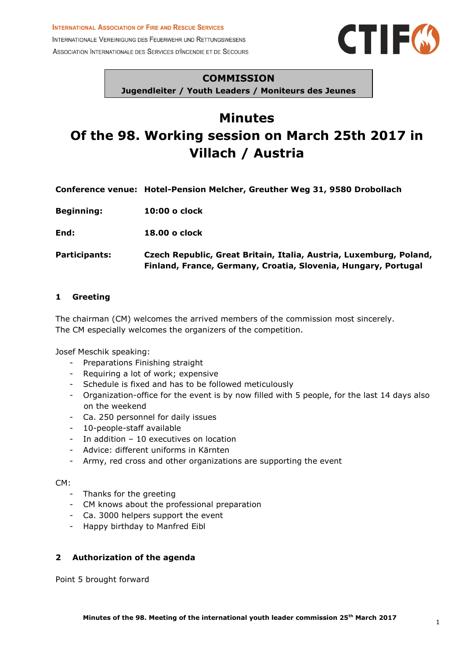**INTERNATIONAL ASSOCIATION OF FIRE AND RESCUE SERVICES** 

INTERNATIONALE VEREINIGUNG DES FEUERWEHR UND RETTUNGSWESENS ASSOCIATION INTERNATIONALE DES SERVICES D'INCENDIE ET DE SECOURS



## **COMMISSION**

**Jugendleiter / Youth Leaders / Moniteurs des Jeunes**

# **Minutes Of the 98. Working session on March 25th 2017 in Villach / Austria**

**Conference venue: Hotel-Pension Melcher, Greuther Weg 31, 9580 Drobollach**

**Beginning: 10:00 o clock**

**End: 18.00 o clock**

**Participants: Czech Republic, Great Britain, Italia, Austria, Luxemburg, Poland, Finland, France, Germany, Croatia, Slovenia, Hungary, Portugal**

### **1 Greeting**

The chairman (CM) welcomes the arrived members of the commission most sincerely. The CM especially welcomes the organizers of the competition.

Josef Meschik speaking:

- Preparations Finishing straight
- Requiring a lot of work; expensive
- Schedule is fixed and has to be followed meticulously
- Organization-office for the event is by now filled with 5 people, for the last 14 days also on the weekend
- Ca. 250 personnel for daily issues
- 10-people-staff available
- In addition 10 executives on location
- Advice: different uniforms in Kärnten
- Army, red cross and other organizations are supporting the event

#### CM:

- Thanks for the greeting
- CM knows about the professional preparation
- Ca. 3000 helpers support the event
- Happy birthday to Manfred Eibl

## **2 Authorization of the agenda**

Point 5 brought forward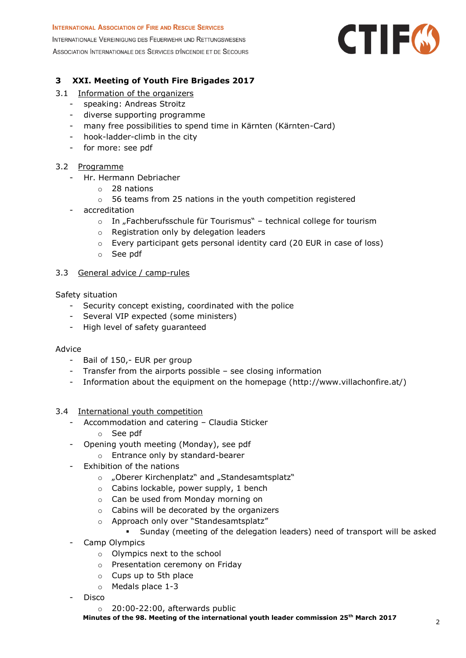# **INTERNATIONAL ASSOCIATION OF FIRE AND RESCUE SERVICES** INTERNATIONALE VEREINIGUNG DES FEUERWEHR UND RETTUNGSWESENS ASSOCIATION INTERNATIONALE DES SERVICES D'INCENDIE ET DE SECOURS



# **3 XXI. Meeting of Youth Fire Brigades 2017**

- 3.1 Information of the organizers
	- speaking: Andreas Stroitz
	- diverse supporting programme
	- many free possibilities to spend time in Kärnten (Kärnten-Card)
	- hook-ladder-climb in the city
	- for more: see pdf

## 3.2 Programme

- Hr. Hermann Debriacher
	- o 28 nations
		- o 56 teams from 25 nations in the youth competition registered
	- accreditation
		- $\circ$  In "Fachberufsschule für Tourismus" technical college for tourism
		- o Registration only by delegation leaders
		- o Every participant gets personal identity card (20 EUR in case of loss)
		- o See pdf

## 3.3 General advice / camp-rules

Safety situation

- Security concept existing, coordinated with the police
- Several VIP expected (some ministers)
- High level of safety guaranteed

## Advice

- Bail of 150,- EUR per group
- Transfer from the airports possible see closing information
- Information about the equipment on the homepage (http://www.villachonfire.at/)
- 3.4 International youth competition
	- Accommodation and catering Claudia Sticker
		- o See pdf
	- Opening youth meeting (Monday), see pdf
		- o Entrance only by standard-bearer
	- Exhibition of the nations
		- o "Oberer Kirchenplatz" and "Standesamtsplatz"
		- o Cabins lockable, power supply, 1 bench
		- o Can be used from Monday morning on
		- o Cabins will be decorated by the organizers
		- o Approach only over "Standesamtsplatz"
			- Sunday (meeting of the delegation leaders) need of transport will be asked
	- Camp Olympics
		- o Olympics next to the school
		- o Presentation ceremony on Friday
		- o Cups up to 5th place
		- o Medals place 1-3
	- Disco
		- o 20:00-22:00, afterwards public

**Minutes of the 98. Meeting of the international youth leader commission 25th March 2017** <sup>2</sup>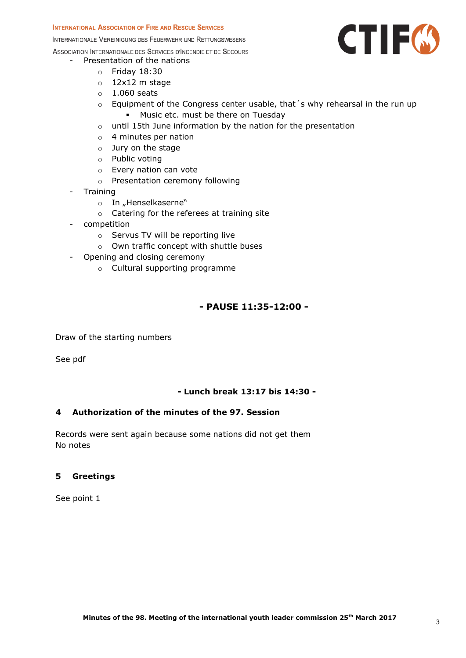#### **INTERNATIONAL ASSOCIATION OF FIRE AND RESCUE SERVICES**

INTERNATIONALE VEREINIGUNG DES FEUERWEHR UND RETTUNGSWESENS

ASSOCIATION INTERNATIONALE DES SERVICES D'INCENDIE ET DE SECOURS

## Presentation of the nations

- o Friday 18:30
- o 12x12 m stage
- $\circ$  1.060 seats
- $\circ$  Equipment of the Congress center usable, that 's why rehearsal in the run up
	- **Music etc. must be there on Tuesday**
- o until 15th June information by the nation for the presentation
- o 4 minutes per nation
- o Jury on the stage
- o Public voting
- o Every nation can vote
- o Presentation ceremony following
- Training
	- o In "Henselkaserne"
	- o Catering for the referees at training site
- competition
	- o Servus TV will be reporting live
	- o Own traffic concept with shuttle buses
- Opening and closing ceremony
	- o Cultural supporting programme

# **- PAUSE 11:35-12:00 -**

Draw of the starting numbers

See pdf

#### **- Lunch break 13:17 bis 14:30 -**

#### **4 Authorization of the minutes of the 97. Session**

Records were sent again because some nations did not get them No notes

#### **5 Greetings**

See point 1

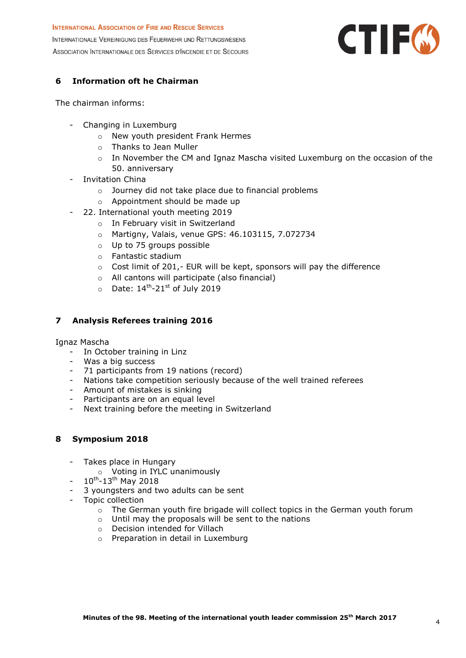# **INTERNATIONAL ASSOCIATION OF FIRE AND RESCUE SERVICES** INTERNATIONALE VEREINIGUNG DES FEUERWEHR UND RETTUNGSWESENS ASSOCIATION INTERNATIONALE DES SERVICES D'INCENDIE ET DE SECOURS



# **6 Information oft he Chairman**

The chairman informs:

- Changing in Luxemburg
	- o New youth president Frank Hermes
	- o Thanks to Jean Muller
	- o In November the CM and Ignaz Mascha visited Luxemburg on the occasion of the 50. anniversary
- Invitation China
	- o Journey did not take place due to financial problems
	- o Appointment should be made up
- 22. International youth meeting 2019
	- o In February visit in Switzerland
	- o Martigny, Valais, venue GPS: 46.103115, 7.072734
	- o Up to 75 groups possible
	- o Fantastic stadium
	- o Cost limit of 201,- EUR will be kept, sponsors will pay the difference
	- o All cantons will participate (also financial)
	- $\circ$  Date:  $14^{\text{th}}$ -21<sup>st</sup> of July 2019

## **7 Analysis Referees training 2016**

Ignaz Mascha

- In October training in Linz
- Was a big success
- 71 participants from 19 nations (record)
- Nations take competition seriously because of the well trained referees
- Amount of mistakes is sinking
- Participants are on an equal level
- Next training before the meeting in Switzerland

## **8 Symposium 2018**

- Takes place in Hungary
	- o Voting in IYLC unanimously
- $-10^{th}$ -13<sup>th</sup> May 2018
- 3 youngsters and two adults can be sent
- Topic collection
	- o The German youth fire brigade will collect topics in the German youth forum
	- o Until may the proposals will be sent to the nations
	- o Decision intended for Villach
	- o Preparation in detail in Luxemburg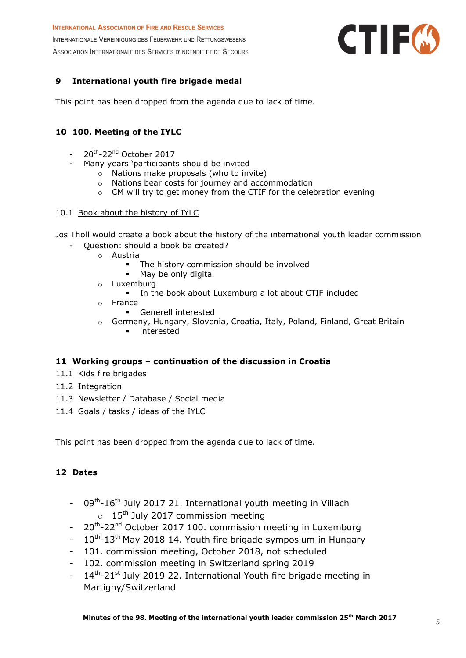**INTERNATIONAL ASSOCIATION OF FIRE AND RESCUE SERVICES** INTERNATIONALE VEREINIGUNG DES FEUERWEHR UND RETTUNGSWESENS ASSOCIATION INTERNATIONALE DES SERVICES D'INCENDIE ET DE SECOURS



# **9 International youth fire brigade medal**

This point has been dropped from the agenda due to lack of time.

## **10 100. Meeting of the IYLC**

- 20<sup>th</sup>-22<sup>nd</sup> October 2017
- Many years 'participants should be invited
	- o Nations make proposals (who to invite)
		- o Nations bear costs for journey and accommodation
		- o CM will try to get money from the CTIF for the celebration evening

#### 10.1 Book about the history of IYLC

Jos Tholl would create a book about the history of the international youth leader commission

- Ouestion: should a book be created?
	- o Austria
		- **The history commission should be involved**
		- May be only digital
		- o Luxemburg
			- In the book about Luxemburg a lot about CTIF included
		- o France
			- Generell interested
		- o Germany, Hungary, Slovenia, Croatia, Italy, Poland, Finland, Great Britain
			- **interested**

#### **11 Working groups – continuation of the discussion in Croatia**

- 11.1 Kids fire brigades
- 11.2 Integration
- 11.3 Newsletter / Database / Social media
- 11.4 Goals / tasks / ideas of the IYLC

This point has been dropped from the agenda due to lack of time.

## **12 Dates**

- 09<sup>th</sup>-16<sup>th</sup> July 2017 21. International youth meeting in Villach  $\circ$  15<sup>th</sup> July 2017 commission meeting
- 20<sup>th</sup>-22<sup>nd</sup> October 2017 100. commission meeting in Luxemburg
- $-10^{th}$ -13<sup>th</sup> May 2018 14. Youth fire brigade symposium in Hungary
- 101. commission meeting, October 2018, not scheduled
- 102. commission meeting in Switzerland spring 2019
- $-14<sup>th</sup>$ -21<sup>st</sup> July 2019 22. International Youth fire brigade meeting in Martigny/Switzerland